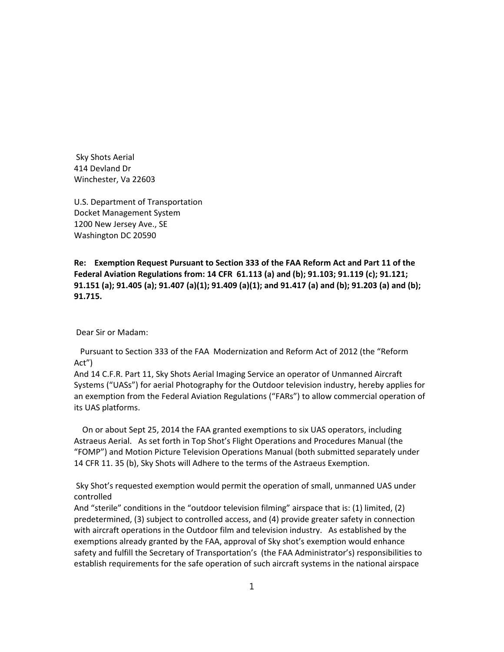Sky Shots Aerial 414 Devland Dr Winchester, Va 22603

U.S. Department of Transportation Docket Management System 1200 New Jersey Ave., SE Washington DC 20590

**Re: Exemption Request Pursuant to Section 333 of the FAA Reform Act and Part 11 of the Federal Aviation Regulations from: 14 CFR 61.113 (a) and (b); 91.103; 91.119 (c); 91.121; 91.151 (a); 91.405 (a); 91.407 (a)(1); 91.409 (a)(1); and 91.417 (a) and (b); 91.203 (a) and (b); 91.715.**

Dear Sir or Madam:

 Pursuant to Section 333 of the FAA Modernization and Reform Act of 2012 (the "Reform Act")

And 14 C.F.R. Part 11, Sky Shots Aerial Imaging Service an operator of Unmanned Aircraft Systems ("UASs") for aerial Photography for the Outdoor television industry, hereby applies for an exemption from the Federal Aviation Regulations ("FARs") to allow commercial operation of its UAS platforms.

 On or about Sept 25, 2014 the FAA granted exemptions to six UAS operators, including Astraeus Aerial. As set forth in Top Shot's Flight Operations and Procedures Manual (the "FOMP") and Motion Picture Television Operations Manual (both submitted separately under 14 CFR 11. 35 (b), Sky Shots will Adhere to the terms of the Astraeus Exemption.

 Sky Shot's requested exemption would permit the operation of small, unmanned UAS under controlled

And "sterile" conditions in the "outdoor television filming" airspace that is: (1) limited, (2) predetermined, (3) subject to controlled access, and (4) provide greater safety in connection with aircraft operations in the Outdoor film and television industry. As established by the exemptions already granted by the FAA, approval of Sky shot's exemption would enhance safety and fulfill the Secretary of Transportation's (the FAA Administrator's) responsibilities to establish requirements for the safe operation of such aircraft systems in the national airspace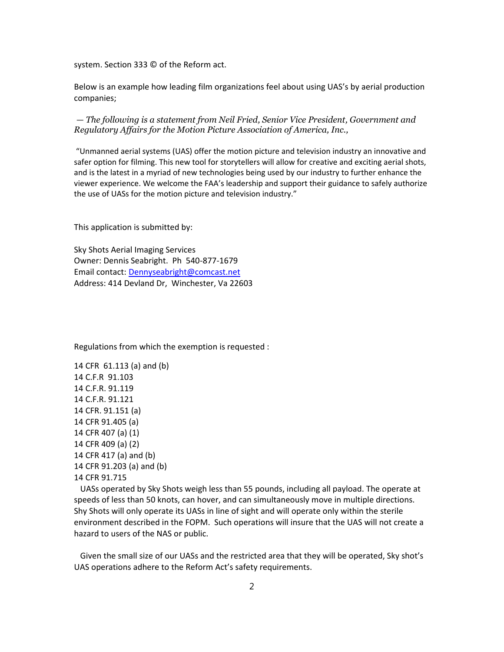system. Section 333 © of the Reform act.

Below is an example how leading film organizations feel about using UAS's by aerial production companies;

— *The following is a statement from Neil Fried, Senior Vice President, Government and Regulatory Affairs for the Motion Picture Association of America, Inc.,*

 "Unmanned aerial systems (UAS) offer the motion picture and television industry an innovative and safer option for filming. This new tool for storytellers will allow for creative and exciting aerial shots, and is the latest in a myriad of new technologies being used by our industry to further enhance the viewer experience. We welcome the FAA's leadership and support their guidance to safely authorize the use of UASs for the motion picture and television industry."

This application is submitted by:

Sky Shots Aerial Imaging Services Owner: Dennis Seabright. Ph 540-877-1679 Email contact: Dennyseabright@comcast.net Address: 414 Devland Dr, Winchester, Va 22603

Regulations from which the exemption is requested :

```
14 CFR 61.113 (a) and (b)
14 C.F.R 91.103
14 C.F.R. 91.119
14 C.F.R. 91.121
14 CFR. 91.151 (a)
14 CFR 91.405 (a)
14 CFR 407 (a) (1)
14 CFR 409 (a) (2)
14 CFR 417 (a) and (b)
14 CFR 91.203 (a) and (b)
14 CFR 91.715
```
 UASs operated by Sky Shots weigh less than 55 pounds, including all payload. The operate at speeds of less than 50 knots, can hover, and can simultaneously move in multiple directions. Shy Shots will only operate its UASs in line of sight and will operate only within the sterile environment described in the FOPM. Such operations will insure that the UAS will not create a hazard to users of the NAS or public.

 Given the small size of our UASs and the restricted area that they will be operated, Sky shot's UAS operations adhere to the Reform Act's safety requirements.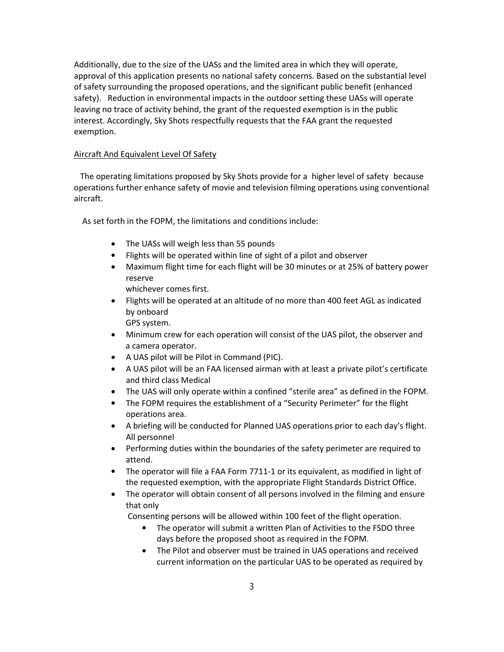Additionally, due to the size of the UASs and the limited area in which they will operate, approval of this application presents no national safety concerns. Based on the substantial level of safety surrounding the proposed operations, and the significant public benefit (enhanced safety). Reduction in environmental impacts in the outdoor setting these UASs will operate leaving no trace of activity behind, the grant of the requested exemption is in the public interest. Accordingly, Sky Shots respectfully requests that the FAA grant the requested exemption.

### Aircraft And Equivalent Level Of Safety

 The operating limitations proposed by Sky Shots provide for a higher level of safety because operations further enhance safety of movie and television filming operations using conventional aircraft.

As set forth in the FOPM, the limitations and conditions include:

- The UASs will weigh less than 55 pounds
- Flights will be operated within line of sight of a pilot and observer
- Maximum flight time for each flight will be 30 minutes or at 25% of battery power reserve

whichever comes first.

- Flights will be operated at an altitude of no more than 400 feet AGL as indicated by onboard GPS system.
- Minimum crew for each operation will consist of the UAS pilot, the observer and a camera operator.
- A UAS pilot will be Pilot in Command (PIC).
- A UAS pilot will be an FAA licensed airman with at least a private pilot's certificate and third class Medical
- The UAS will only operate within a confined "sterile area" as defined in the FOPM.
- The FOPM requires the establishment of a "Security Perimeter" for the flight operations area.
- A briefing will be conducted for Planned UAS operations prior to each day's flight. All personnel
- Performing duties within the boundaries of the safety perimeter are required to attend.
- The operator will file a FAA Form 7711-1 or its equivalent, as modified in light of the requested exemption, with the appropriate Flight Standards District Office.
- The operator will obtain consent of all persons involved in the filming and ensure that only

Consenting persons will be allowed within 100 feet of the flight operation.

- The operator will submit a written Plan of Activities to the FSDO three days before the proposed shoot as required in the FOPM.
- The Pilot and observer must be trained in UAS operations and received current information on the particular UAS to be operated as required by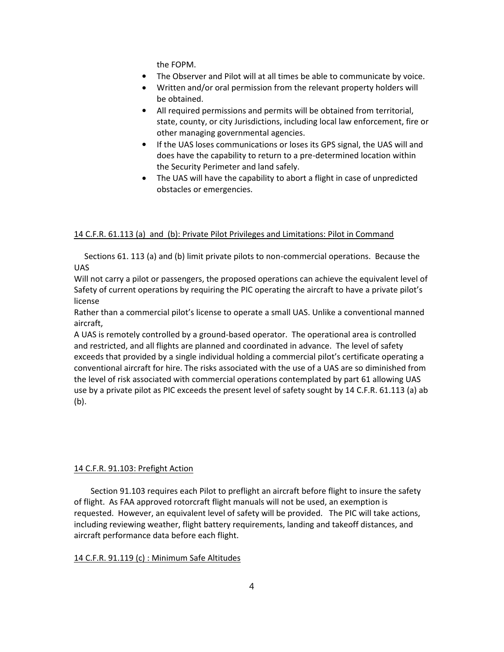the FOPM.

- The Observer and Pilot will at all times be able to communicate by voice.
- Written and/or oral permission from the relevant property holders will be obtained.
- All required permissions and permits will be obtained from territorial, state, county, or city Jurisdictions, including local law enforcement, fire or other managing governmental agencies.
- If the UAS loses communications or loses its GPS signal, the UAS will and does have the capability to return to a pre-determined location within the Security Perimeter and land safely.
- The UAS will have the capability to abort a flight in case of unpredicted obstacles or emergencies.

# 14 C.F.R. 61.113 (a) and (b): Private Pilot Privileges and Limitations: Pilot in Command

 Sections 61. 113 (a) and (b) limit private pilots to non-commercial operations. Because the UAS

Will not carry a pilot or passengers, the proposed operations can achieve the equivalent level of Safety of current operations by requiring the PIC operating the aircraft to have a private pilot's license

Rather than a commercial pilot's license to operate a small UAS. Unlike a conventional manned aircraft,

A UAS is remotely controlled by a ground-based operator. The operational area is controlled and restricted, and all flights are planned and coordinated in advance. The level of safety exceeds that provided by a single individual holding a commercial pilot's certificate operating a conventional aircraft for hire. The risks associated with the use of a UAS are so diminished from the level of risk associated with commercial operations contemplated by part 61 allowing UAS use by a private pilot as PIC exceeds the present level of safety sought by 14 C.F.R. 61.113 (a) ab (b).

### 14 C.F.R. 91.103: Prefight Action

 Section 91.103 requires each Pilot to preflight an aircraft before flight to insure the safety of flight. As FAA approved rotorcraft flight manuals will not be used, an exemption is requested. However, an equivalent level of safety will be provided. The PIC will take actions, including reviewing weather, flight battery requirements, landing and takeoff distances, and aircraft performance data before each flight.

# 14 C.F.R. 91.119 (c) : Minimum Safe Altitudes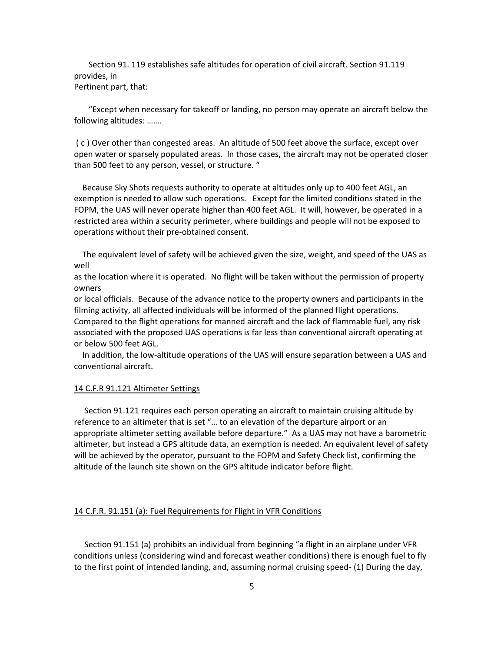Section 91. 119 establishes safe altitudes for operation of civil aircraft. Section 91.119 provides, in

# Pertinent part, that:

 "Except when necessary for takeoff or landing, no person may operate an aircraft below the following altitudes: …….

 ( c ) Over other than congested areas. An altitude of 500 feet above the surface, except over open water or sparsely populated areas. In those cases, the aircraft may not be operated closer than 500 feet to any person, vessel, or structure. "

 Because Sky Shots requests authority to operate at altitudes only up to 400 feet AGL, an exemption is needed to allow such operations. Except for the limited conditions stated in the FOPM, the UAS will never operate higher than 400 feet AGL. It will, however, be operated in a restricted area within a security perimeter, where buildings and people will not be exposed to operations without their pre-obtained consent.

 The equivalent level of safety will be achieved given the size, weight, and speed of the UAS as well

as the location where it is operated. No flight will be taken without the permission of property owners

or local officials. Because of the advance notice to the property owners and participants in the filming activity, all affected individuals will be informed of the planned flight operations.

Compared to the flight operations for manned aircraft and the lack of flammable fuel, any risk associated with the proposed UAS operations is far less than conventional aircraft operating at or below 500 feet AGL.

 In addition, the low-altitude operations of the UAS will ensure separation between a UAS and conventional aircraft.

#### 14 C.F.R 91.121 Altimeter Settings

 Section 91.121 requires each person operating an aircraft to maintain cruising altitude by reference to an altimeter that is set "… to an elevation of the departure airport or an appropriate altimeter setting available before departure." As a UAS may not have a barometric altimeter, but instead a GPS altitude data, an exemption is needed. An equivalent level of safety will be achieved by the operator, pursuant to the FOPM and Safety Check list, confirming the altitude of the launch site shown on the GPS altitude indicator before flight.

#### 14 C.F.R. 91.151 (a): Fuel Requirements for Flight in VFR Conditions

 Section 91.151 (a) prohibits an individual from beginning "a flight in an airplane under VFR conditions unless (considering wind and forecast weather conditions) there is enough fuel to fly to the first point of intended landing, and, assuming normal cruising speed- (1) During the day,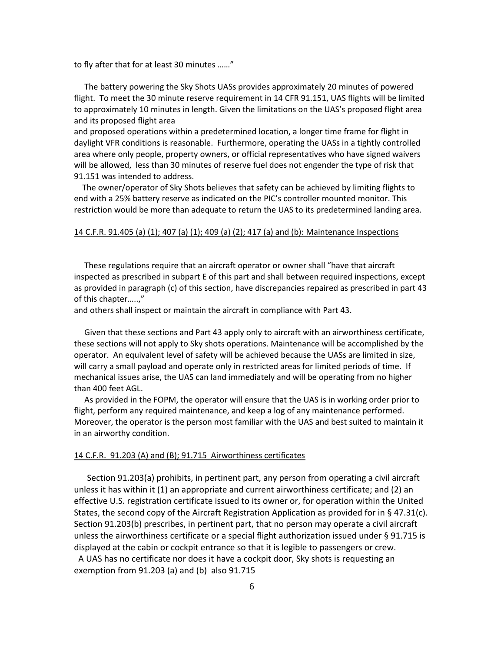to fly after that for at least 30 minutes ……"

 The battery powering the Sky Shots UASs provides approximately 20 minutes of powered flight. To meet the 30 minute reserve requirement in 14 CFR 91.151, UAS flights will be limited to approximately 10 minutes in length. Given the limitations on the UAS's proposed flight area and its proposed flight area

and proposed operations within a predetermined location, a longer time frame for flight in daylight VFR conditions is reasonable. Furthermore, operating the UASs in a tightly controlled area where only people, property owners, or official representatives who have signed waivers will be allowed, less than 30 minutes of reserve fuel does not engender the type of risk that 91.151 was intended to address.

 The owner/operator of Sky Shots believes that safety can be achieved by limiting flights to end with a 25% battery reserve as indicated on the PIC's controller mounted monitor. This restriction would be more than adequate to return the UAS to its predetermined landing area.

#### 14 C.F.R. 91.405 (a) (1); 407 (a) (1); 409 (a) (2); 417 (a) and (b): Maintenance Inspections

 These regulations require that an aircraft operator or owner shall "have that aircraft inspected as prescribed in subpart E of this part and shall between required inspections, except as provided in paragraph (c) of this section, have discrepancies repaired as prescribed in part 43 of this chapter…..,"

and others shall inspect or maintain the aircraft in compliance with Part 43.

 Given that these sections and Part 43 apply only to aircraft with an airworthiness certificate, these sections will not apply to Sky shots operations. Maintenance will be accomplished by the operator. An equivalent level of safety will be achieved because the UASs are limited in size, will carry a small payload and operate only in restricted areas for limited periods of time. If mechanical issues arise, the UAS can land immediately and will be operating from no higher than 400 feet AGL.

 As provided in the FOPM, the operator will ensure that the UAS is in working order prior to flight, perform any required maintenance, and keep a log of any maintenance performed. Moreover, the operator is the person most familiar with the UAS and best suited to maintain it in an airworthy condition.

### 14 C.F.R. 91.203 (A) and (B); 91.715 Airworthiness certificates

 Section 91.203(a) prohibits, in pertinent part, any person from operating a civil aircraft unless it has within it (1) an appropriate and current airworthiness certificate; and (2) an effective U.S. registration certificate issued to its owner or, for operation within the United States, the second copy of the Aircraft Registration Application as provided for in § 47.31(c). Section 91.203(b) prescribes, in pertinent part, that no person may operate a civil aircraft unless the airworthiness certificate or a special flight authorization issued under § 91.715 is displayed at the cabin or cockpit entrance so that it is legible to passengers or crew.

 A UAS has no certificate nor does it have a cockpit door, Sky shots is requesting an exemption from 91.203 (a) and (b) also 91.715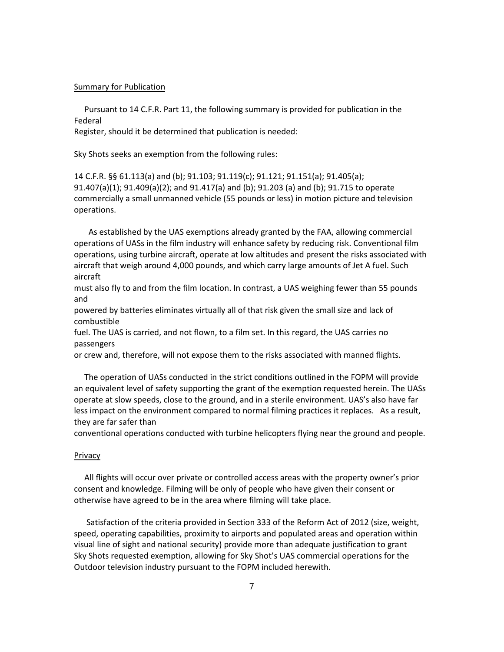### Summary for Publication

 Pursuant to 14 C.F.R. Part 11, the following summary is provided for publication in the Federal

Register, should it be determined that publication is needed:

Sky Shots seeks an exemption from the following rules:

14 C.F.R. §§ 61.113(a) and (b); 91.103; 91.119(c); 91.121; 91.151(a); 91.405(a); 91.407(a)(1); 91.409(a)(2); and 91.417(a) and (b); 91.203 (a) and (b); 91.715 to operate commercially a small unmanned vehicle (55 pounds or less) in motion picture and television operations.

 As established by the UAS exemptions already granted by the FAA, allowing commercial operations of UASs in the film industry will enhance safety by reducing risk. Conventional film operations, using turbine aircraft, operate at low altitudes and present the risks associated with aircraft that weigh around 4,000 pounds, and which carry large amounts of Jet A fuel. Such aircraft

must also fly to and from the film location. In contrast, a UAS weighing fewer than 55 pounds and

powered by batteries eliminates virtually all of that risk given the small size and lack of combustible

fuel. The UAS is carried, and not flown, to a film set. In this regard, the UAS carries no passengers

or crew and, therefore, will not expose them to the risks associated with manned flights.

 The operation of UASs conducted in the strict conditions outlined in the FOPM will provide an equivalent level of safety supporting the grant of the exemption requested herein. The UASs operate at slow speeds, close to the ground, and in a sterile environment. UAS's also have far less impact on the environment compared to normal filming practices it replaces. As a result, they are far safer than

conventional operations conducted with turbine helicopters flying near the ground and people.

#### Privacy

 All flights will occur over private or controlled access areas with the property owner's prior consent and knowledge. Filming will be only of people who have given their consent or otherwise have agreed to be in the area where filming will take place.

 Satisfaction of the criteria provided in Section 333 of the Reform Act of 2012 (size, weight, speed, operating capabilities, proximity to airports and populated areas and operation within visual line of sight and national security) provide more than adequate justification to grant Sky Shots requested exemption, allowing for Sky Shot's UAS commercial operations for the Outdoor television industry pursuant to the FOPM included herewith.